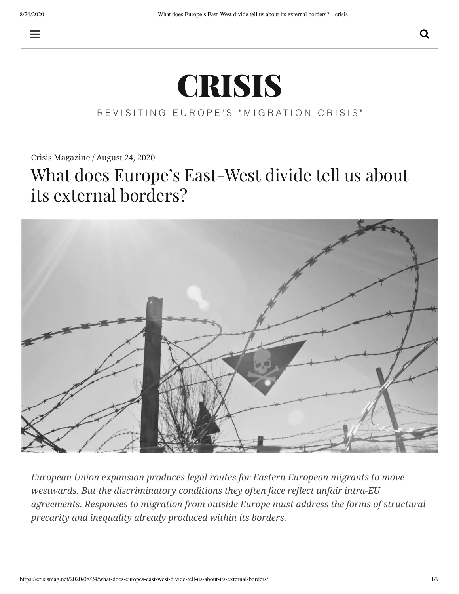

## REVISITING EUROPE'S "MIGRATION CRISIS"

[Crisis Magazine](https://crisismag.net/author/crisismag/) / [August 24, 2020](https://crisismag.net/2020/08/24/what-does-europes-east-west-divide-tell-us-about-its-external-borders/)

# What does Europe's East-West divide tell us about its external borders?



*European Union expansion produces legal routes for Eastern European migrants to move westwards. But the discriminatory conditions they often face reflect unfair intra-EU agreements. Responses to migration from outside Europe must address the forms of structural precarity and inequality already produced within its borders.*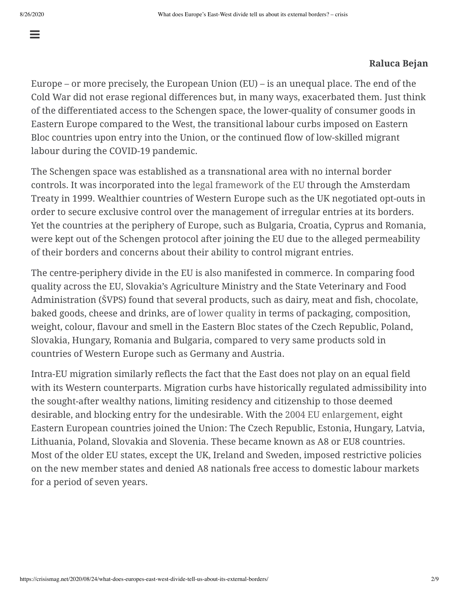$\equiv$ 

### **Raluca Bejan**

Europe – or more precisely, the European Union (EU) – is an unequal place. The end of the Cold War did not erase regional differences but, in many ways, exacerbated them. Just think of the differentiated access to the Schengen space, the lower-quality of consumer goods in Eastern Europe compared to the West, the transitional labour curbs imposed on Eastern Bloc countries upon entry into the Union, or the continued flow of low-skilled migrant labour during the COVID-19 pandemic.

The Schengen space was established as a transnational area with no internal border controls. It was incorporated into the [legal framework of the EU](https://ec.europa.eu/home-affairs/e-library/glossary/schengen-agreement-convention_en) through the Amsterdam Treaty in 1999. Wealthier countries of Western Europe such as the UK negotiated opt-outs in order to secure exclusive control over the management of irregular entries at its borders. Yet the countries at the periphery of Europe, such as Bulgaria, Croatia, Cyprus and Romania, were kept out of the Schengen protocol after joining the EU due to the alleged permeability of their borders and concerns about their ability to control migrant entries.

The centre-periphery divide in the EU is also manifested in commerce. In comparing food quality across the EU, Slovakia's Agriculture Ministry and the State Veterinary and Food Administration (ŠVPS) found that several products, such as dairy, meat and fish, chocolate, baked goods, cheese and drinks, are of [lower quality](https://www.euractiv.com/section/health-consumers/news/lower-quality-of-same-food-brands-in-eastern-europe-raises-eyebrows/) in terms of packaging, composition, weight, colour, flavour and smell in the Eastern Bloc states of the Czech Republic, Poland, Slovakia, Hungary, Romania and Bulgaria, compared to very same products sold in countries of Western Europe such as Germany and Austria.

Intra-EU migration similarly reflects the fact that the East does not play on an equal field with its Western counterparts. Migration curbs have historically regulated admissibility into the sought-after wealthy nations, limiting residency and citizenship to those deemed desirable, and blocking entry for the undesirable. With the [2004 EU enlargement](https://eur-lex.europa.eu/legal-content/EN/TXT/?uri=LEGISSUM%3Ae50017), eight Eastern European countries joined the Union: The Czech Republic, Estonia, Hungary, Latvia, Lithuania, Poland, Slovakia and Slovenia. These became known as A8 or EU8 countries. Most of the older EU states, except the UK, Ireland and Sweden, imposed restrictive policies on the new member states and denied A8 nationals free access to domestic labour markets for a period of seven years.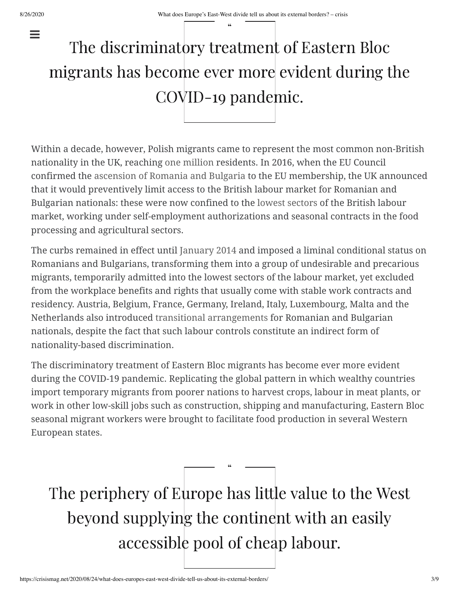$\equiv$ 

"

# The discriminatory treatment of Eastern Bloc migrants has become ever more evident during the COVID-19 pandemic.

Within a decade, however, Polish migrants came to represent the most common non-British nationality in the UK, reaching [one million](https://www.ons.gov.uk/peoplepopulationandcommunity/populationandmigration/internationalmigration/bulletins/ukpopulationbycountryofbirthandnationality/2016) residents. In 2016, when the EU Council confirmed the [ascension of Romania and Bulgaria](https://ec.europa.eu/commission/presscorner/detail/en/IP_06_1900) to the EU membership, the UK announced that it would preventively limit access to the British labour market for Romanian and Bulgarian nationals: these were now confined to the [lowest sectors](https://www.berghahnjournals.com/view/journals/focaal/2007/49/focaal490109.xml) of the British labour market, working under self-employment authorizations and seasonal contracts in the food processing and agricultural sectors.

The curbs remained in effect until [January 2014](https://migrationobservatory.ox.ac.uk/resources/commentaries/a2-migration-to-britain-after-transitional-restrictions-the-first-piece-of-evidence/) and imposed a liminal conditional status on Romanians and Bulgarians, transforming them into a group of undesirable and precarious migrants, temporarily admitted into the lowest sectors of the labour market, yet excluded from the workplace benefits and rights that usually come with stable work contracts and residency. Austria, Belgium, France, Germany, Ireland, Italy, Luxembourg, Malta and the Netherlands also introduced [transitional arrangements](https://www.niesr.ac.uk/sites/default/files/publications/050811_152043.pdf) for Romanian and Bulgarian nationals, despite the fact that such labour controls constitute an indirect form of nationality-based discrimination.

The discriminatory treatment of Eastern Bloc migrants has become ever more evident during the COVID-19 pandemic. Replicating the global pattern in which wealthy countries import temporary migrants from poorer nations to harvest crops, labour in meat plants, or work in other low-skill jobs such as construction, shipping and manufacturing, Eastern Bloc seasonal migrant workers were brought to facilitate food production in several Western European states.

The periphery of Europe has little value to the West beyond supplying the continent with an easily accessible pool of cheap labour.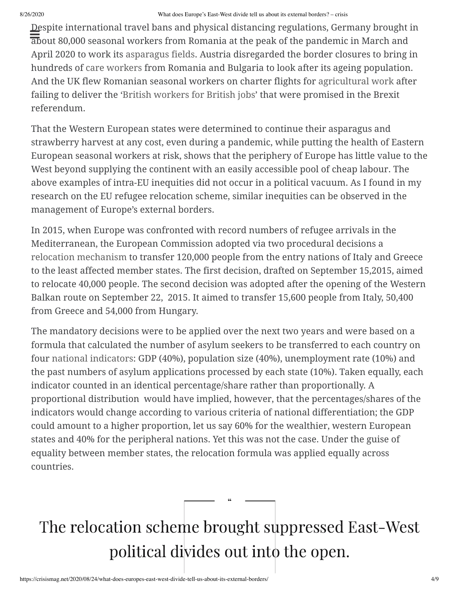#### 8/26/2020 What does Europe's East-West divide tell us about its external borders? – crisis

Despite international travel bans and physical distancing regulations, Germany brought in about 80,000 seasonal workers from Romania at the peak of the pandemic in March and April 2020 to work its [asparagus fields.](https://verfassungsblog.de/covid-19-and-disposable-migrant-workers/) Austria disregarded the border closures to bring in hundreds of [care workers](https://www.theguardian.com/profile/paula-erizanu) from Romania and Bulgaria to look after its ageing population. And the UK flew Romanian seasonal workers on charter flights for [agricultural work](https://www.newsbreak.com/news/1548638766897/eastern-europeans-flown-in-for-vital-jobs-on-uk-german-farms) after failing to deliver the '[British workers for British jobs](https://www.theguardian.com/commentisfree/2017/sep/08/british-jobs-workers-fascist-government-brexit-plan)' that were promised in the Brexit referendum.

That the Western European states were determined to continue their asparagus and strawberry harvest at any cost, even during a pandemic, while putting the health of Eastern European seasonal workers at risk, shows that the periphery of Europe has little value to the West beyond supplying the continent with an easily accessible pool of cheap labour. The above examples of intra-EU inequities did not occur in a political vacuum. As I found in my research on the EU refugee relocation scheme, similar inequities can be observed in the management of Europe's external borders.

In 2015, when Europe was confronted with record numbers of refugee arrivals in the Mediterranean, the European Commission adopted via two procedural decisions a [relocation mechanism](https://ec.europa.eu/commission/presscorner/detail/en/IP_15_5596) to transfer 120,000 people from the entry nations of Italy and Greece to the least affected member states. The first decision, drafted on September 15,2015, aimed to relocate 40,000 people. The second decision was adopted after the opening of the Western Balkan route on September 22, 2015. It aimed to transfer 15,600 people from Italy, 50,400 from Greece and 54,000 from Hungary.

The mandatory decisions were to be applied over the next two years and were based on a formula that calculated the number of asylum seekers to be transferred to each country on four [national indicators:](https://ec.europa.eu/commission/presscorner/detail/it/MEMO_15_5698) GDP (40%), population size (40%), unemployment rate (10%) and the past numbers of asylum applications processed by each state (10%). Taken equally, each indicator counted in an identical percentage/share rather than proportionally. A proportional distribution would have implied, however, that the percentages/shares of the indicators would change according to various criteria of national differentiation; the GDP could amount to a higher proportion, let us say 60% for the wealthier, western European states and 40% for the peripheral nations. Yet this was not the case. Under the guise of equality between member states, the relocation formula was applied equally across countries.

# The relocation scheme brought suppressed East-West political divides out into the open.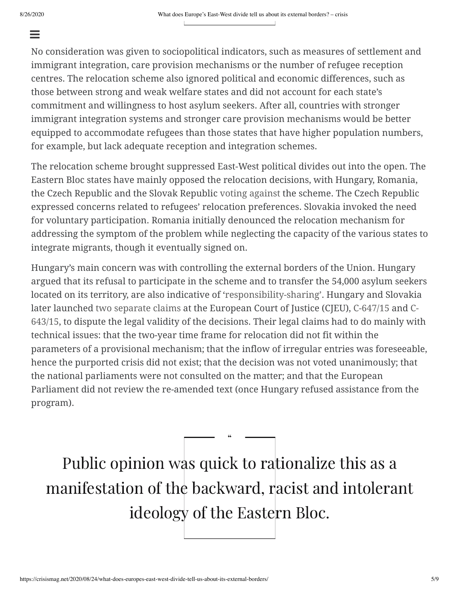### $\equiv$

No consideration was given to sociopolitical indicators, such as measures of settlement and immigrant integration, care provision mechanisms or the number of refugee reception centres. The relocation scheme also ignored political and economic differences, such as those between strong and weak welfare states and did not account for each state's commitment and willingness to host asylum seekers. After all, countries with stronger immigrant integration systems and stronger care provision mechanisms would be better equipped to accommodate refugees than those states that have higher population numbers, for example, but lack adequate reception and integration schemes.

The relocation scheme brought suppressed East-West political divides out into the open. The Eastern Bloc states have mainly opposed the relocation decisions, with Hungary, Romania, the Czech Republic and the Slovak Republic [voting against](https://verfassungsblog.de/a-5050-ball-the-east-versus-the-eu-in-the-refugee-relocation-game/) the scheme. The Czech Republic expressed concerns related to refugees' relocation preferences. Slovakia invoked the need for voluntary participation. Romania initially denounced the relocation mechanism for addressing the symptom of the problem while neglecting the capacity of the various states to integrate migrants, though it eventually signed on.

Hungary's main concern was with controlling the external borders of the Union. Hungary argued that its refusal to participate in the scheme and to transfer the 54,000 asylum seekers located on its territory, are also indicative of ['responsibility-sharing'](https://pdfs.semanticscholar.org/364e/031598761c451706d2c29c420e13c718ffde.pdf). Hungary and Slovakia later launched [two separate claims](http://curia.europa.eu/juris/document/document.jsf?docid=194081&doclang=EN) at the European Court of Justice (CJEU), [C-647/15](http://curia.europa.eu/juris/liste.jsf?num=C-647/15) and C-[643/15, to dispute the legal validity of the decisions. Their legal claims had to do mainly wit](http://curia.europa.eu/juris/liste.jsf?language=en&jur=C,T,F&num=c-643/15)h technical issues: that the two-year time frame for relocation did not fit within the parameters of a provisional mechanism; that the inflow of irregular entries was foreseeable, hence the purported crisis did not exist; that the decision was not voted unanimously; that the national parliaments were not consulted on the matter; and that the European Parliament did not review the re-amended text (once Hungary refused assistance from the program).

Public opinion was quick to rationalize this as a manifestation of the backward, racist and intolerant ideology of the Eastern Bloc.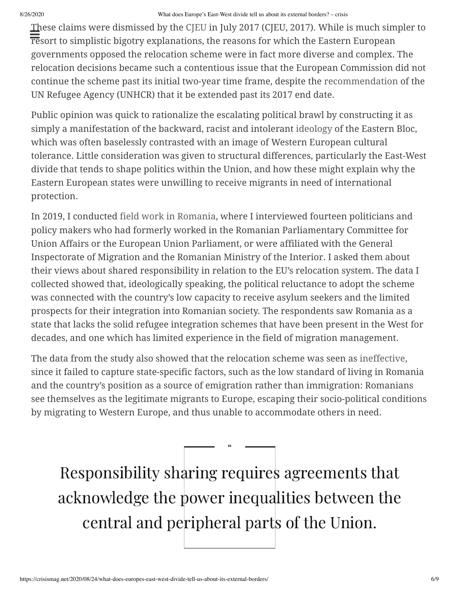#### 8/26/2020 What does Europe's East-West divide tell us about its external borders? – crisis

These claims were dismissed by the [CJEU](http://curia.europa.eu/juris/document/document.jsf?docid=194081&doclang=EN) in July 2017 (CJEU, 2017). While is much simpler to reso claims were distinssed by the effect in Jury 2017 (effect, 2017). While is inderi sind<br>resort to simplistic bigotry explanations, the reasons for which the Eastern European governments opposed the relocation scheme were in fact more diverse and complex. The relocation decisions became such a contentious issue that the European Commission did not continue the scheme past its initial two-year time frame, despite the [recommendation](http://www.unhcr.org/news/press/2017/9/59ca64354/unhcr-calls-eurelocation-scheme-continue.html) of the UN Refugee Agency (UNHCR) that it be extended past its 2017 end date.

Public opinion was quick to rationalize the escalating political brawl by constructing it as simply a manifestation of the backward, racist and intolerant [ideology](https://usa.greekreporter.com/2019/09/27/greek-pm-calls-for-migrant-burden-sharing-in-un-speech/) of the Eastern Bloc, which was often baselessly contrasted with an image of Western European cultural tolerance. Little consideration was given to structural differences, particularly the East-West divide that tends to shape politics within the Union, and how these might explain why the Eastern European states were unwilling to receive migrants in need of international protection.

In 2019, I conducted [field work in Romania,](https://www.respondmigration.com/wp-blog/following-refugee-relocation-scheme-ideological-interpretations-of-interstate-shared-responsibility-in-romania) where I interviewed fourteen politicians and policy makers who had formerly worked in the Romanian Parliamentary Committee for Union Affairs or the European Union Parliament, or were affiliated with the General Inspectorate of Migration and the Romanian Ministry of the Interior. I asked them about their views about shared responsibility in relation to the EU's relocation system. The data I collected showed that, ideologically speaking, the political reluctance to adopt the scheme was connected with the country's low capacity to receive asylum seekers and the limited prospects for their integration into Romanian society. The respondents saw Romania as a state that lacks the solid refugee integration schemes that have been present in the West for decades, and one which has limited experience in the field of migration management.

The data from the study also showed that the relocation scheme was seen as [ineffective,](https://www.respondmigration.com/wp-blog/following-refugee-relocation-scheme-ideological-interpretations-of-interstate-shared-responsibility-in-romania) since it failed to capture state-specific factors, such as the low standard of living in Romania and the country's position as a source of emigration rather than immigration: Romanians see themselves as the legitimate migrants to Europe, escaping their socio-political conditions by migrating to Western Europe, and thus unable to accommodate others in need.

Responsibility sharing requires agreements that acknowledge the power inequalities between the central and peripheral parts of the Union.